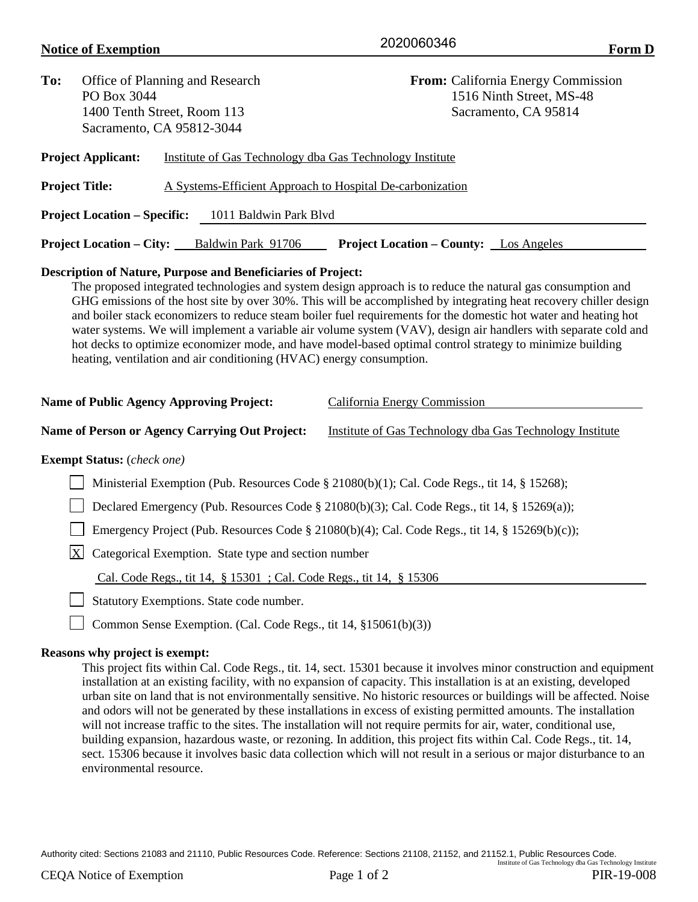## **Notice of Exemption Form D**  $\overline{2020000340}$  Form D

| To:                                                                                                    | Office of Planning and Research<br>PO Box 3044<br>1400 Tenth Street, Room 113 |  |                                                           |  | From: California Energy Commission<br>1516 Ninth Street, MS-48<br>Sacramento, CA 95814 |  |  |
|--------------------------------------------------------------------------------------------------------|-------------------------------------------------------------------------------|--|-----------------------------------------------------------|--|----------------------------------------------------------------------------------------|--|--|
|                                                                                                        |                                                                               |  |                                                           |  |                                                                                        |  |  |
|                                                                                                        |                                                                               |  |                                                           |  |                                                                                        |  |  |
|                                                                                                        | Sacramento, CA 95812-3044                                                     |  |                                                           |  |                                                                                        |  |  |
|                                                                                                        | <b>Project Applicant:</b>                                                     |  | Institute of Gas Technology dba Gas Technology Institute  |  |                                                                                        |  |  |
|                                                                                                        | <b>Project Title:</b>                                                         |  | A Systems-Efficient Approach to Hospital De-carbonization |  |                                                                                        |  |  |
|                                                                                                        | <b>Project Location – Specific:</b>                                           |  | 1011 Baldwin Park Blyd                                    |  |                                                                                        |  |  |
| <b>Project Location – City:</b><br>Baldwin Park 91706<br><b>Project Location – County:</b> Los Angeles |                                                                               |  |                                                           |  |                                                                                        |  |  |
|                                                                                                        |                                                                               |  |                                                           |  |                                                                                        |  |  |

# **Description of Nature, Purpose and Beneficiaries of Project:**

The proposed integrated technologies and system design approach is to reduce the natural gas consumption and GHG emissions of the host site by over 30%. This will be accomplished by integrating heat recovery chiller design and boiler stack economizers to reduce steam boiler fuel requirements for the domestic hot water and heating hot water systems. We will implement a variable air volume system (VAV), design air handlers with separate cold and hot decks to optimize economizer mode, and have model-based optimal control strategy to minimize building heating, ventilation and air conditioning (HVAC) energy consumption.

| <b>Name of Public Agency Approving Project:</b> | California Energy Commission |
|-------------------------------------------------|------------------------------|
|                                                 |                              |

#### **Name of Person or Agency Carrying Out Project:** Institute of Gas Technology dba Gas Technology Institute

### **Exempt Status:** (*check one)*

Ministerial Exemption (Pub. Resources Code § 21080(b)(1); Cal. Code Regs., tit 14, § 15268);

□ Declared Emergency (Pub. Resources Code § 21080(b)(3); Cal. Code Regs., tit 14, § 15269(a));

Emergency Project (Pub. Resources Code § 21080(b)(4); Cal. Code Regs., tit 14, § 15269(b)(c));

 $\overline{X}$  Categorical Exemption. State type and section number

Cal. Code Regs., tit 14, § 15301 ; Cal. Code Regs., tit 14, § 15306

Statutory Exemptions. State code number.

Common Sense Exemption. (Cal. Code Regs., tit 14, §15061(b)(3))

### **Reasons why project is exempt:**

This project fits within Cal. Code Regs., tit. 14, sect. 15301 because it involves minor construction and equipment installation at an existing facility, with no expansion of capacity. This installation is at an existing, developed urban site on land that is not environmentally sensitive. No historic resources or buildings will be affected. Noise and odors will not be generated by these installations in excess of existing permitted amounts. The installation will not increase traffic to the sites. The installation will not require permits for air, water, conditional use, building expansion, hazardous waste, or rezoning. In addition, this project fits within Cal. Code Regs., tit. 14, sect. 15306 because it involves basic data collection which will not result in a serious or major disturbance to an environmental resource.